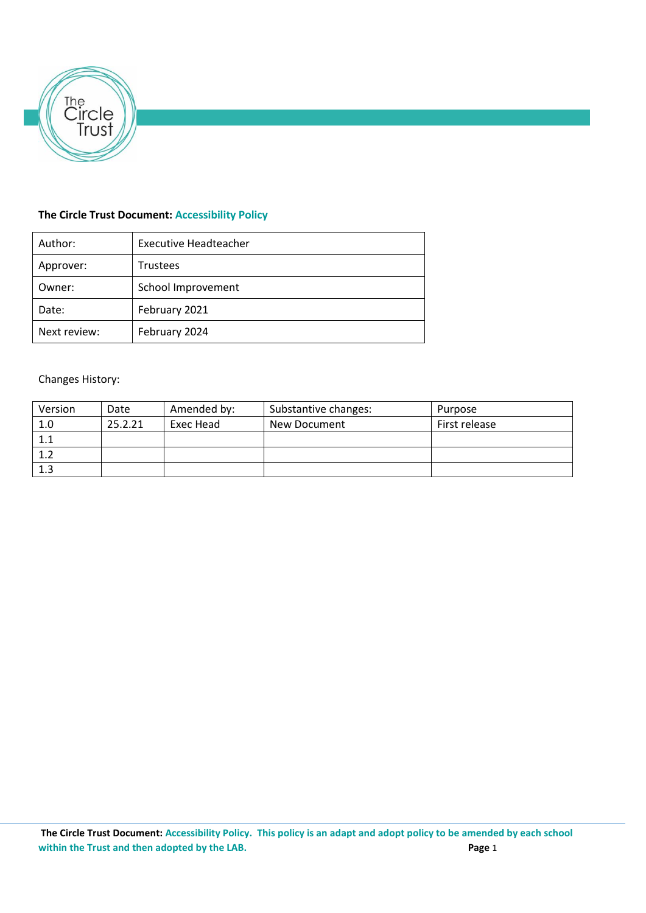

# **The Circle Trust Document: Accessibility Policy**

| Author:      | <b>Executive Headteacher</b> |
|--------------|------------------------------|
| Approver:    | <b>Trustees</b>              |
| Owner:       | School Improvement           |
| Date:        | February 2021                |
| Next review: | February 2024                |

# Changes History:

| Version | Date    | Amended by: | Substantive changes: | Purpose       |
|---------|---------|-------------|----------------------|---------------|
| 1.0     | 25.2.21 | Exec Head   | New Document         | First release |
| 1.1     |         |             |                      |               |
| 1.2     |         |             |                      |               |
| 1.3     |         |             |                      |               |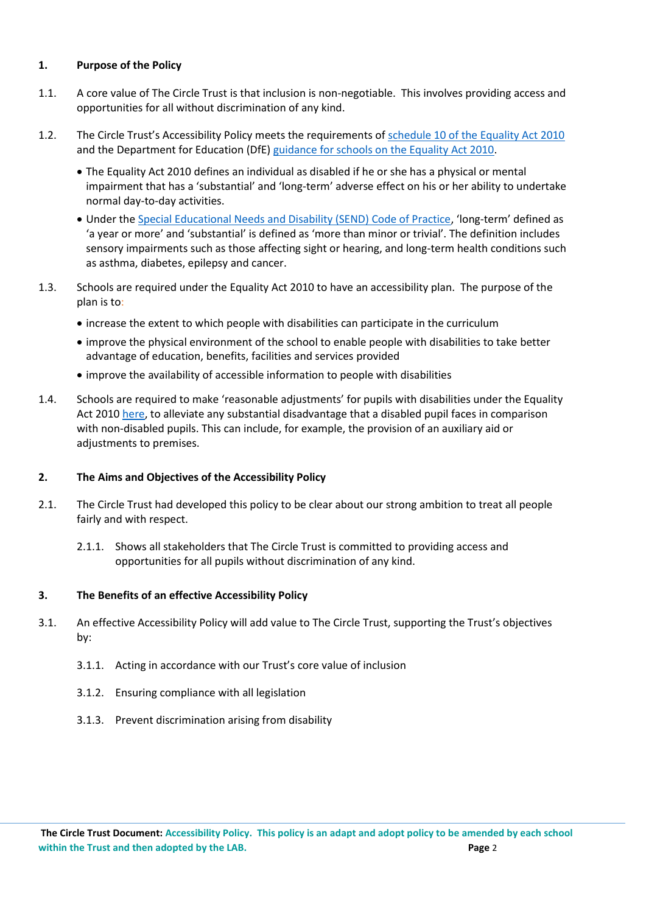## **1. Purpose of the Policy**

- 1.1. A core value of The Circle Trust is that inclusion is non-negotiable. This involves providing access and opportunities for all without discrimination of any kind.
- 1.2. The Circle Trust's Accessibility Policy meets the requirements of [schedule 10 of the Equality Act 2010](http://www.legislation.gov.uk/ukpga/2010/15/schedule/10) and the Department for Education (DfE) [guidance for schools on the Equality](https://www.gov.uk/government/publications/equality-act-2010-advice-for-schools) Act 2010.
	- The Equality Act 2010 defines an individual as disabled if he or she has a physical or mental impairment that has a 'substantial' and 'long-term' adverse effect on his or her ability to undertake normal day-to-day activities.
	- Under the [Special Educational Needs and Disability \(SEND\) Code of Practice](https://www.gov.uk/government/publications/send-code-of-practice-0-to-25), 'long-term' defined as 'a year or more' and 'substantial' is defined as 'more than minor or trivial'. The definition includes sensory impairments such as those affecting sight or hearing, and long-term health conditions such as asthma, diabetes, epilepsy and cancer.
- 1.3. Schools are required under the Equality Act 2010 to have an accessibility plan. The purpose of the plan is to:
	- increase the extent to which people with disabilities can participate in the curriculum
	- improve the physical environment of the school to enable people with disabilities to take better advantage of education, benefits, facilities and services provided
	- improve the availability of accessible information to people with disabilities
- 1.4. Schools are required to make 'reasonable adjustments' for pupils with disabilities under the Equality Act 2010 [here,](https://www.gov.uk/government/publications/equality-act-2010-advice-for-schools) to alleviate any substantial disadvantage that a disabled pupil faces in comparison with non-disabled pupils. This can include, for example, the provision of an auxiliary aid or adjustments to premises.

#### **2. The Aims and Objectives of the Accessibility Policy**

- 2.1. The Circle Trust had developed this policy to be clear about our strong ambition to treat all people fairly and with respect.
	- 2.1.1. Shows all stakeholders that The Circle Trust is committed to providing access and opportunities for all pupils without discrimination of any kind.

#### **3. The Benefits of an effective Accessibility Policy**

- 3.1. An effective Accessibility Policy will add value to The Circle Trust, supporting the Trust's objectives by:
	- 3.1.1. Acting in accordance with our Trust's core value of inclusion
	- 3.1.2. Ensuring compliance with all legislation
	- 3.1.3. Prevent discrimination arising from disability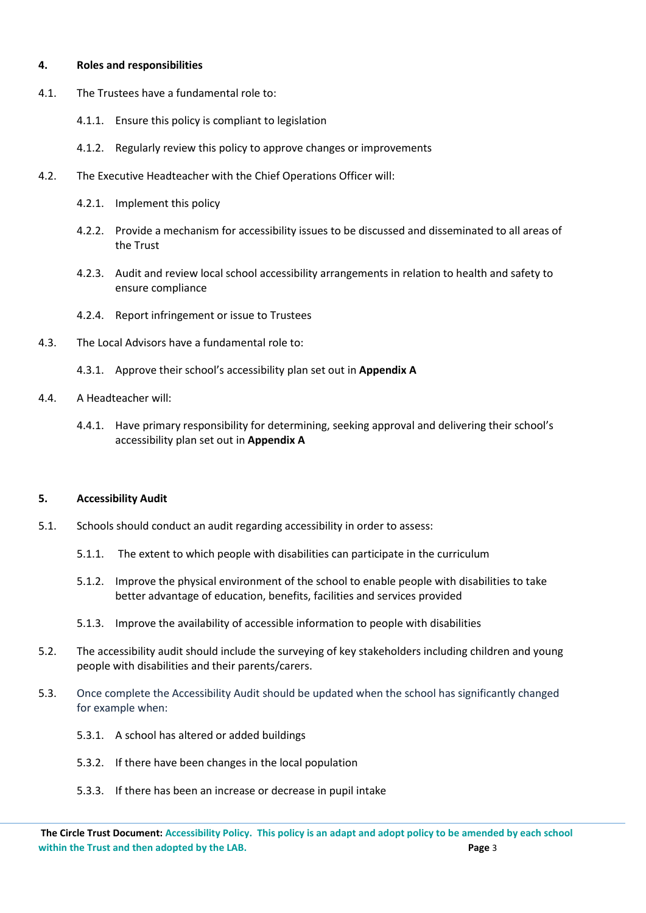#### **4. Roles and responsibilities**

- 4.1. The Trustees have a fundamental role to:
	- 4.1.1. Ensure this policy is compliant to legislation
	- 4.1.2. Regularly review this policy to approve changes or improvements
- 4.2. The Executive Headteacher with the Chief Operations Officer will:
	- 4.2.1. Implement this policy
	- 4.2.2. Provide a mechanism for accessibility issues to be discussed and disseminated to all areas of the Trust
	- 4.2.3. Audit and review local school accessibility arrangements in relation to health and safety to ensure compliance
	- 4.2.4. Report infringement or issue to Trustees
- 4.3. The Local Advisors have a fundamental role to:
	- 4.3.1. Approve their school's accessibility plan set out in **Appendix A**
- 4.4. A Headteacher will:
	- 4.4.1. Have primary responsibility for determining, seeking approval and delivering their school's accessibility plan set out in **Appendix A**

#### **5. Accessibility Audit**

- 5.1. Schools should conduct an audit regarding accessibility in order to assess:
	- 5.1.1. The extent to which people with disabilities can participate in the curriculum
	- 5.1.2. Improve the physical environment of the school to enable people with disabilities to take better advantage of education, benefits, facilities and services provided
	- 5.1.3. Improve the availability of accessible information to people with disabilities
- 5.2. The accessibility audit should include the surveying of key stakeholders including children and young people with disabilities and their parents/carers.
- 5.3. Once complete the Accessibility Audit should be updated when the school has significantly changed for example when:
	- 5.3.1. A school has altered or added buildings
	- 5.3.2. If there have been changes in the local population
	- 5.3.3. If there has been an increase or decrease in pupil intake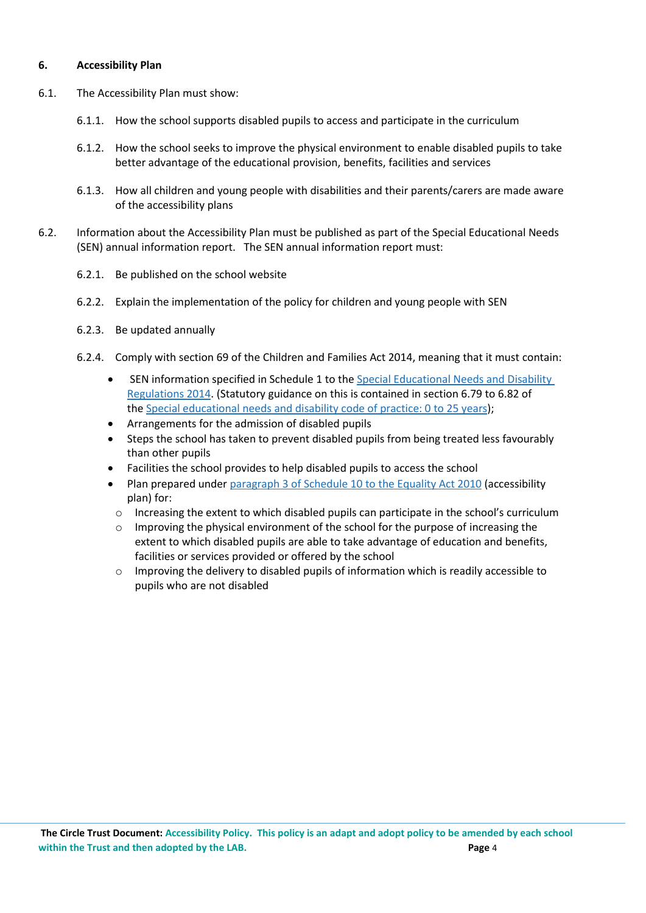### **6. Accessibility Plan**

- 6.1. The Accessibility Plan must show:
	- 6.1.1. How the school supports disabled pupils to access and participate in the curriculum
	- 6.1.2. How the school seeks to improve the physical environment to enable disabled pupils to take better advantage of the educational provision, benefits, facilities and services
	- 6.1.3. How all children and young people with disabilities and their parents/carers are made aware of the accessibility plans
- 6.2. Information about the Accessibility Plan must be published as part of the Special Educational Needs (SEN) annual information report. The SEN annual information report must:
	- 6.2.1. Be published on the school website
	- 6.2.2. Explain the implementation of the policy for children and young people with SEN
	- 6.2.3. Be updated annually
	- 6.2.4. Comply with section 69 of the Children and Families Act 2014, meaning that it must contain:
		- SEN information specified in Schedule 1 to the Special [Educational](http://www.legislation.gov.uk/uksi/2014/1530/contents/made) Needs and Disability [Regulations](http://www.legislation.gov.uk/uksi/2014/1530/contents/made) 2014. (Statutory guidance on this is contained in section 6.79 to 6.82 of the Special [educational](https://www.gov.uk/government/publications/send-code-of-practice-0-to-25) needs and disability code of practice: 0 to 25 years);
		- Arrangements for the admission of disabled pupils
		- Steps the school has taken to prevent disabled pupils from being treated less favourably than other pupils
		- Facilities the school provides to help disabled pupils to access the school
		- Plan prepared under [paragraph](http://www.legislation.gov.uk/ukpga/2010/15/schedule/10) 3 of Schedule 10 to the Equality Act 2010 (accessibility plan) for:
		- o Increasing the extent to which disabled pupils can participate in the school's curriculum
		- o Improving the physical environment of the school for the purpose of increasing the extent to which disabled pupils are able to take advantage of education and benefits, facilities or services provided or offered by the school
		- o Improving the delivery to disabled pupils of information which is readily accessible to pupils who are not disabled